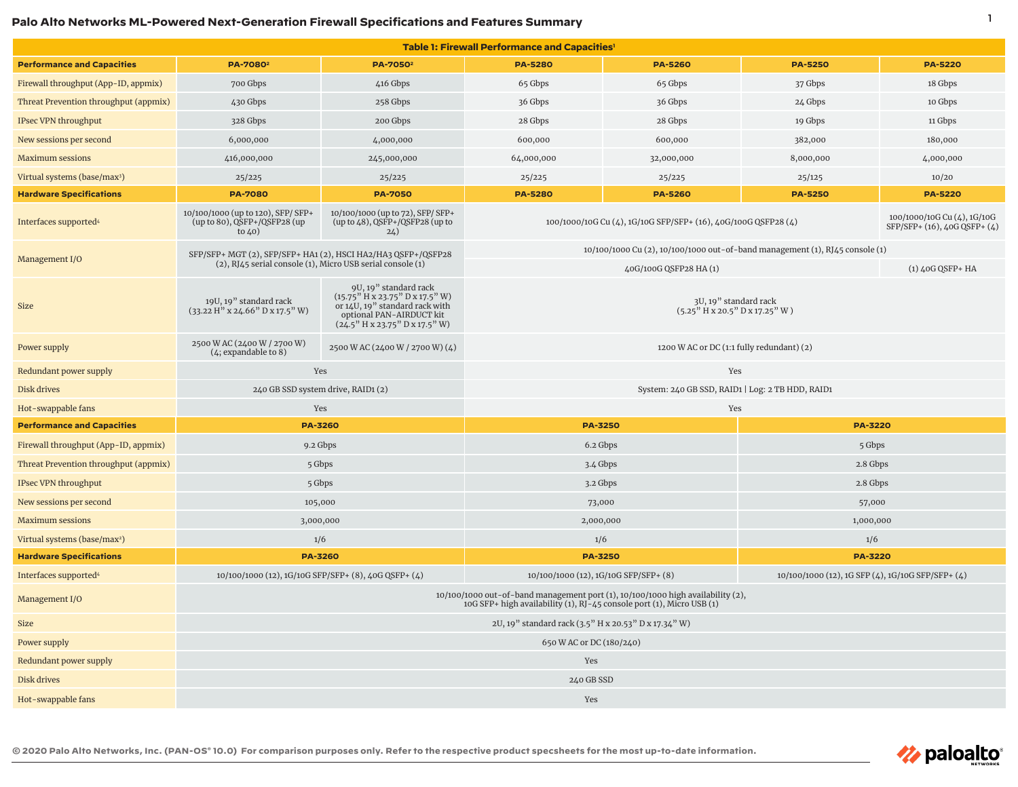## **Palo Alto Networks ML-Powered Next-Generation Firewall Specifications and Features Summary** 1

| Table 1: Firewall Performance and Capacities' |                                                                                                                                                          |                                                                                                                                                                            |                                                                                                                               |                    |                                                   |                |  |  |  |
|-----------------------------------------------|----------------------------------------------------------------------------------------------------------------------------------------------------------|----------------------------------------------------------------------------------------------------------------------------------------------------------------------------|-------------------------------------------------------------------------------------------------------------------------------|--------------------|---------------------------------------------------|----------------|--|--|--|
| <b>Performance and Capacities</b>             | PA-7080 <sup>2</sup>                                                                                                                                     | PA-7050 <sup>2</sup>                                                                                                                                                       | <b>PA-5280</b>                                                                                                                | <b>PA-5260</b>     | <b>PA-5250</b>                                    | <b>PA-5220</b> |  |  |  |
| Firewall throughput (App-ID, appmix)          | 700 Gbps                                                                                                                                                 | 416 Gbps                                                                                                                                                                   | 65 Gbps                                                                                                                       | 65 Gbps            | 37 Gbps                                           | 18 Gbps        |  |  |  |
| Threat Prevention throughput (appmix)         | 430 Gbps                                                                                                                                                 | 258 Gbps                                                                                                                                                                   | 36 Gbps                                                                                                                       | 36 Gbps            | 24 Gbps                                           | 10 Gbps        |  |  |  |
| IPsec VPN throughput                          | 328 Gbps                                                                                                                                                 | 200 Gbps                                                                                                                                                                   | 28 Gbps                                                                                                                       | 28 Gbps            | 19 Gbps                                           | 11 Gbps        |  |  |  |
| New sessions per second                       | 6,000,000                                                                                                                                                | 4,000,000                                                                                                                                                                  | 600,000                                                                                                                       | 600,000            | 382,000                                           | 180,000        |  |  |  |
| <b>Maximum sessions</b>                       | 416,000,000                                                                                                                                              | 245,000,000                                                                                                                                                                | 64,000,000                                                                                                                    | 32,000,000         | 8,000,000                                         | 4,000,000      |  |  |  |
| Virtual systems (base/max <sup>3</sup> )      | 25/225                                                                                                                                                   | 25/225                                                                                                                                                                     | 25/225                                                                                                                        | 25/225             | 25/125                                            | 10/20          |  |  |  |
| <b>Hardware Specifications</b>                | <b>PA-7080</b>                                                                                                                                           | <b>PA-7050</b>                                                                                                                                                             | <b>PA-5280</b>                                                                                                                | <b>PA-5260</b>     | <b>PA-5250</b>                                    | <b>PA-5220</b> |  |  |  |
| Interfaces supported <sup>4</sup>             | 10/100/1000 (up to 120), SFP/ SFP+<br>(up to 80), QSFP+/QSFP28 (up<br>to $40)$                                                                           | 10/100/1000 (up to 72), SFP/ SFP+<br>(up to 48), QSFP+/QSFP28 (up to<br>24)                                                                                                | 100/1000/10G Cu (4), 1G/10G<br>100/1000/10G Cu (4), 1G/10G SFP/SFP+ (16), 40G/100G QSFP28 (4)<br>SFP/SFP+ (16), 40G QSFP+ (4) |                    |                                                   |                |  |  |  |
| Management I/O                                | SFP/SFP+ MGT (2), SFP/SFP+ HA1 (2), HSCI HA2/HA3 QSFP+/QSFP28                                                                                            |                                                                                                                                                                            | 10/100/1000 Cu (2), 10/100/1000 out-of-band management (1), RJ45 console (1)                                                  |                    |                                                   |                |  |  |  |
|                                               | (2), RJ45 serial console (1), Micro USB serial console (1)                                                                                               |                                                                                                                                                                            |                                                                                                                               | $(1)$ 40G QSFP+ HA |                                                   |                |  |  |  |
| <b>Size</b>                                   | 19U, 19" standard rack<br>$(33.22 \text{ H}'' \times 24.66'' \text{ D} \times 17.5'' \text{ W})$                                                         | 9U, 19" standard rack<br>$(15.75^{\prime\prime}$ H x 23.75" D x 17.5" W)<br>or 14U, 19" standard rack with<br>optional PAN-AIRDUCT kit<br>$(24.5"$ H x 23.75" D x 17.5" W) | 3U, 19" standard rack<br>$(5.25"$ H x 20.5" D x 17.25" W)                                                                     |                    |                                                   |                |  |  |  |
| Power supply                                  | 2500 W AC (2400 W / 2700 W)<br>(4; expandable to 8)                                                                                                      | 2500 W AC (2400 W / 2700 W) (4)                                                                                                                                            | 1200 W AC or DC (1:1 fully redundant) (2)                                                                                     |                    |                                                   |                |  |  |  |
| Redundant power supply                        | Yes<br>Yes                                                                                                                                               |                                                                                                                                                                            |                                                                                                                               |                    |                                                   |                |  |  |  |
| Disk drives                                   | 240 GB SSD system drive, RAID1 (2)                                                                                                                       |                                                                                                                                                                            | System: 240 GB SSD, RAID1   Log: 2 TB HDD, RAID1                                                                              |                    |                                                   |                |  |  |  |
| Hot-swappable fans                            |                                                                                                                                                          | Yes                                                                                                                                                                        | Yes                                                                                                                           |                    |                                                   |                |  |  |  |
| <b>Performance and Capacities</b>             | <b>PA-3260</b>                                                                                                                                           |                                                                                                                                                                            | <b>PA-3250</b>                                                                                                                |                    | <b>PA-3220</b>                                    |                |  |  |  |
| Firewall throughput (App-ID, appmix)          | 9.2 Gbps                                                                                                                                                 |                                                                                                                                                                            | 6.2 Gbps                                                                                                                      |                    | 5 Gbps                                            |                |  |  |  |
| Threat Prevention throughput (appmix)         | 5 Gbps                                                                                                                                                   |                                                                                                                                                                            | 3.4 Gbps                                                                                                                      |                    | 2.8 Gbps                                          |                |  |  |  |
| IPsec VPN throughput                          | 5 Gbps                                                                                                                                                   |                                                                                                                                                                            | 3.2 Gbps                                                                                                                      |                    | 2.8 Gbps                                          |                |  |  |  |
| New sessions per second                       | 105,000                                                                                                                                                  |                                                                                                                                                                            | 73,000                                                                                                                        |                    | 57,000                                            |                |  |  |  |
| <b>Maximum sessions</b>                       | 3,000,000                                                                                                                                                |                                                                                                                                                                            | 2,000,000                                                                                                                     |                    | 1,000,000                                         |                |  |  |  |
| Virtual systems (base/max <sup>2</sup> )      | 1/6                                                                                                                                                      |                                                                                                                                                                            | 1/6                                                                                                                           |                    | 1/6                                               |                |  |  |  |
| <b>Hardware Specifications</b>                | <b>PA-3260</b>                                                                                                                                           |                                                                                                                                                                            | <b>PA-3250</b>                                                                                                                |                    | <b>PA-3220</b>                                    |                |  |  |  |
| Interfaces supported <sup>4</sup>             | 10/100/1000 (12), 1G/10G SFP/SFP+ (8), 40G QSFP+ (4)                                                                                                     |                                                                                                                                                                            | 10/100/1000 (12), 1G/10G SFP/SFP+ (8)                                                                                         |                    | 10/100/1000 (12), 1G SFP (4), 1G/10G SFP/SFP+ (4) |                |  |  |  |
| Management I/O                                | 10/100/1000 out-of-band management port (1), 10/100/1000 high availability (2),<br>10G SFP+ high availability (1), RJ-45 console port (1), Micro USB (1) |                                                                                                                                                                            |                                                                                                                               |                    |                                                   |                |  |  |  |
| Size                                          | 2U, 19" standard rack (3.5" H x 20.53" D x 17.34" W)                                                                                                     |                                                                                                                                                                            |                                                                                                                               |                    |                                                   |                |  |  |  |
| Power supply                                  | 650 W AC or DC (180/240)                                                                                                                                 |                                                                                                                                                                            |                                                                                                                               |                    |                                                   |                |  |  |  |
| Redundant power supply                        | Yes                                                                                                                                                      |                                                                                                                                                                            |                                                                                                                               |                    |                                                   |                |  |  |  |
| Disk drives                                   | 240 GB SSD                                                                                                                                               |                                                                                                                                                                            |                                                                                                                               |                    |                                                   |                |  |  |  |
| Hot-swappable fans                            | Yes                                                                                                                                                      |                                                                                                                                                                            |                                                                                                                               |                    |                                                   |                |  |  |  |

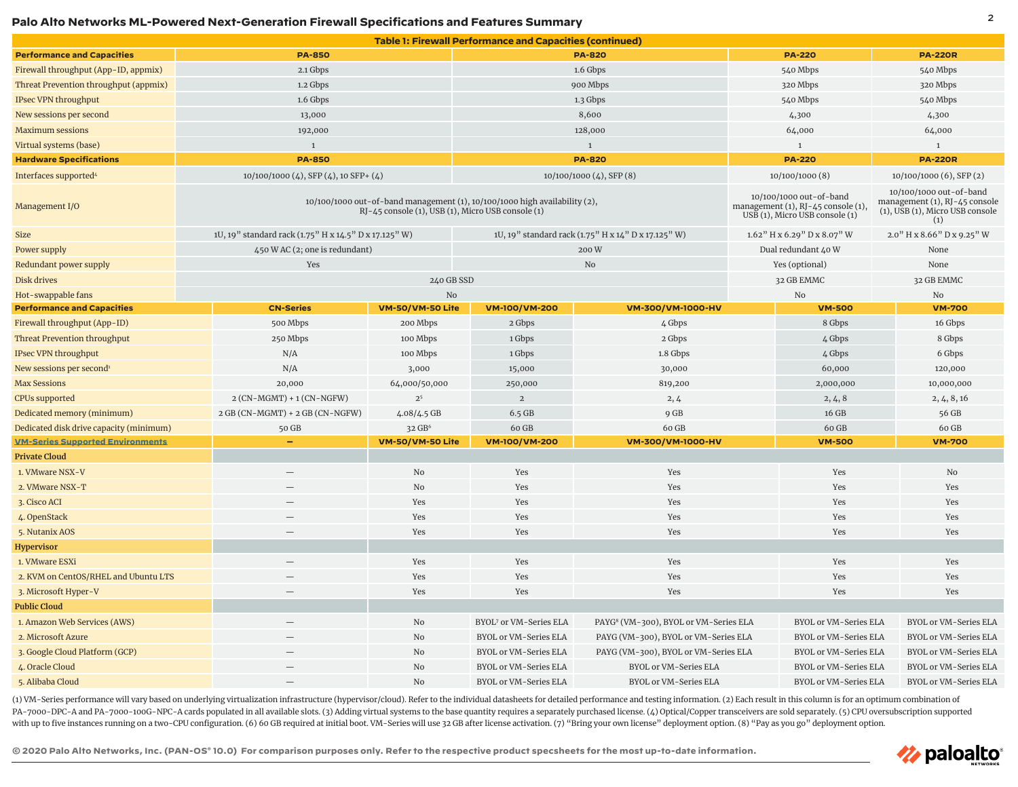## <sup>2</sup> **Palo Alto Networks ML-Powered Next-Generation Firewall Specifications and Features Summary**

|                                         |                                                       |                                                                                                                                 | <b>Table 1: Firewall Performance and Capacities (continued)</b> |                                                   |                              |                                                                                                 |                              |                                                                                                    |  |
|-----------------------------------------|-------------------------------------------------------|---------------------------------------------------------------------------------------------------------------------------------|-----------------------------------------------------------------|---------------------------------------------------|------------------------------|-------------------------------------------------------------------------------------------------|------------------------------|----------------------------------------------------------------------------------------------------|--|
| <b>Performance and Capacities</b>       | <b>PA-850</b>                                         |                                                                                                                                 | <b>PA-820</b>                                                   |                                                   | <b>PA-220</b>                |                                                                                                 | <b>PA-220R</b>               |                                                                                                    |  |
| Firewall throughput (App-ID, appmix)    | 2.1 Gbps                                              |                                                                                                                                 | 1.6 Gbps                                                        |                                                   | 540 Mbps                     |                                                                                                 | 540 Mbps                     |                                                                                                    |  |
| Threat Prevention throughput (appmix)   | 1.2 Gbps                                              |                                                                                                                                 |                                                                 | 320 Mbps                                          |                              | 320 Mbps                                                                                        |                              |                                                                                                    |  |
| <b>IPsec VPN throughput</b>             | 1.6 Gbps                                              |                                                                                                                                 | 900 Mbps<br>1.3 Gbps                                            |                                                   |                              | 540 Mbps                                                                                        |                              | 540 Mbps                                                                                           |  |
| New sessions per second                 | 13,000                                                |                                                                                                                                 | 8,600                                                           |                                                   | 4,300                        |                                                                                                 | 4,300                        |                                                                                                    |  |
| <b>Maximum sessions</b>                 | 192,000                                               |                                                                                                                                 | 128,000                                                         |                                                   |                              | 64,000                                                                                          |                              | 64,000                                                                                             |  |
| Virtual systems (base)                  | $\mathbf{1}$                                          |                                                                                                                                 | $\overline{1}$                                                  |                                                   |                              | $1\,$                                                                                           |                              | $\mathbf{1}$                                                                                       |  |
| <b>Hardware Specifications</b>          | <b>PA-850</b>                                         |                                                                                                                                 |                                                                 | <b>PA-220</b>                                     |                              | <b>PA-220R</b>                                                                                  |                              |                                                                                                    |  |
| Interfaces supported <sup>4</sup>       | $10/100/1000$ (4), SFP (4), 10 SFP+ (4)               |                                                                                                                                 | <b>PA-820</b><br>$10/100/1000$ (4), SFP (8)                     |                                                   |                              | 10/100/1000 (8)                                                                                 |                              | 10/100/1000 (6), SFP (2)                                                                           |  |
| Management I/O                          |                                                       | 10/100/1000 out-of-band management (1), 10/100/1000 high availability (2),<br>RJ-45 console (1), USB (1), Micro USB console (1) |                                                                 |                                                   |                              | 10/100/1000 out-of-band<br>management (1), RJ-45 console (1),<br>USB (1), Micro USB console (1) |                              | 10/100/1000 out-of-band<br>management (1), RJ-45 console<br>(1), USB (1), Micro USB console<br>(1) |  |
| Size                                    | 1U, 19" standard rack (1.75" H x 14.5" D x 17.125" W) |                                                                                                                                 | 1U, 19" standard rack (1.75" H x 14" D x 17.125" W)             |                                                   |                              | $1.62$ <sup>"</sup> H x $6.29$ " D x $8.07$ " W                                                 |                              | 2.0" H x 8.66" D x 9.25" W                                                                         |  |
| Power supply                            | 450 W AC (2; one is redundant)                        | 200W                                                                                                                            |                                                                 |                                                   | Dual redundant 40 W          |                                                                                                 | None                         |                                                                                                    |  |
| Redundant power supply                  | Yes                                                   |                                                                                                                                 | No                                                              |                                                   | Yes (optional)               |                                                                                                 | None                         |                                                                                                    |  |
| Disk drives                             |                                                       | 240 GB SSD                                                                                                                      |                                                                 |                                                   |                              | 32 GB EMMC                                                                                      |                              | 32 GB EMMC                                                                                         |  |
| Hot-swappable fans                      |                                                       | No                                                                                                                              |                                                                 |                                                   |                              | No                                                                                              |                              | No                                                                                                 |  |
| <b>Performance and Capacities</b>       | <b>CN-Series</b>                                      | VM-50/VM-50 Lite                                                                                                                | <b>VM-100/VM-200</b>                                            | VM-300/VM-1000-HV                                 |                              | <b>VM-500</b>                                                                                   |                              | <b>VM-700</b>                                                                                      |  |
| Firewall throughput (App-ID)            | 500 Mbps                                              | 200 Mbps                                                                                                                        | 2 Gbps                                                          | 4 Gbps                                            |                              | 8 Gbps                                                                                          |                              | 16 Gbps                                                                                            |  |
| <b>Threat Prevention throughput</b>     | 250 Mbps                                              | 100 Mbps                                                                                                                        | 1 Gbps                                                          | 2 Gbps                                            | 4 Gbps                       |                                                                                                 |                              | 8 Gbps                                                                                             |  |
| <b>IPsec VPN throughput</b>             | N/A                                                   | 100 Mbps                                                                                                                        | 1 Gbps                                                          | 1.8 Gbps                                          | 4 Gbps                       |                                                                                                 |                              | 6 Gbps                                                                                             |  |
| New sessions per second <sup>1</sup>    | N/A                                                   | 3,000                                                                                                                           | 15,000                                                          | 30,000                                            | 60,000                       |                                                                                                 | 120,000                      |                                                                                                    |  |
| Max Sessions                            | 20,000                                                | 64,000/50,000                                                                                                                   | 250,000                                                         | 819,200                                           | 2,000,000                    |                                                                                                 | 10,000,000                   |                                                                                                    |  |
| <b>CPUs supported</b>                   | $2$ (CN-MGMT) + 1 (CN-NGFW)                           | 2 <sup>5</sup>                                                                                                                  | $\mathbf{2}$                                                    | 2,4                                               | 2, 4, 8                      |                                                                                                 | 2, 4, 8, 16                  |                                                                                                    |  |
| Dedicated memory (minimum)              | 2 GB (CN-MGMT) + 2 GB (CN-NGFW)                       | 4.08/4.5 GB                                                                                                                     | $6.5$ GB                                                        | 9 GB                                              | 16 GB                        |                                                                                                 | 56 GB                        |                                                                                                    |  |
| Dedicated disk drive capacity (minimum) | 50 GB                                                 | 32 GB <sup>6</sup>                                                                                                              | 60 GB                                                           | 60 GB                                             | 60 GB                        |                                                                                                 |                              | 60 GB                                                                                              |  |
| <b>VM-Series Supported Environments</b> |                                                       | VM-50/VM-50 Lite                                                                                                                | <b>VM-100/VM-200</b>                                            | VM-300/VM-1000-HV                                 |                              | <b>VM-500</b>                                                                                   |                              | <b>VM-700</b>                                                                                      |  |
| Private Cloud                           |                                                       |                                                                                                                                 |                                                                 |                                                   |                              |                                                                                                 |                              |                                                                                                    |  |
| 1. VMware NSX-V                         |                                                       | No                                                                                                                              | Yes                                                             | Yes                                               |                              | Yes                                                                                             |                              | No                                                                                                 |  |
| 2. VMware NSX-T                         |                                                       | No                                                                                                                              | Yes                                                             | Yes                                               |                              | Yes                                                                                             |                              | Yes                                                                                                |  |
| 3. Cisco ACI                            |                                                       | Yes                                                                                                                             | Yes                                                             | Yes                                               |                              | Yes                                                                                             |                              | Yes                                                                                                |  |
| 4. OpenStack                            |                                                       | Yes                                                                                                                             | Yes                                                             | Yes                                               |                              | Yes                                                                                             | Yes                          |                                                                                                    |  |
| 5. Nutanix AOS                          |                                                       | Yes                                                                                                                             | Yes                                                             | Yes                                               |                              | Yes                                                                                             | Yes                          |                                                                                                    |  |
| Hypervisor                              |                                                       |                                                                                                                                 |                                                                 |                                                   |                              |                                                                                                 |                              |                                                                                                    |  |
| 1. VMware ESXi                          |                                                       | Yes                                                                                                                             | Yes                                                             | Yes                                               | Yes                          |                                                                                                 | Yes                          |                                                                                                    |  |
| 2. KVM on CentOS/RHEL and Ubuntu LTS    |                                                       | Yes                                                                                                                             | Yes                                                             | Yes                                               | Yes                          |                                                                                                 | Yes                          |                                                                                                    |  |
| 3. Microsoft Hyper-V                    |                                                       | Yes                                                                                                                             | Yes                                                             | Yes                                               | Yes                          |                                                                                                 | Yes                          |                                                                                                    |  |
| <b>Public Cloud</b>                     |                                                       |                                                                                                                                 |                                                                 |                                                   |                              |                                                                                                 |                              |                                                                                                    |  |
| 1. Amazon Web Services (AWS)            |                                                       | No                                                                                                                              | BYOL <sup>7</sup> or VM-Series ELA                              | PAYG <sup>8</sup> (VM-300), BYOL or VM-Series ELA | BYOL or VM-Series ELA        |                                                                                                 | <b>BYOL or VM-Series ELA</b> |                                                                                                    |  |
| 2. Microsoft Azure                      |                                                       | No                                                                                                                              | BYOL or VM-Series ELA                                           | PAYG (VM-300), BYOL or VM-Series ELA              | <b>BYOL or VM-Series ELA</b> |                                                                                                 |                              | <b>BYOL or VM-Series ELA</b>                                                                       |  |
| 3. Google Cloud Platform (GCP)          |                                                       | No                                                                                                                              | <b>BYOL or VM-Series ELA</b>                                    | PAYG (VM-300), BYOL or VM-Series ELA              | <b>BYOL or VM-Series ELA</b> |                                                                                                 |                              | <b>BYOL or VM-Series ELA</b>                                                                       |  |
| 4. Oracle Cloud                         |                                                       | No                                                                                                                              | BYOL or VM-Series ELA                                           | BYOL or VM-Series ELA                             | BYOL or VM-Series ELA        |                                                                                                 |                              | <b>BYOL or VM-Series ELA</b>                                                                       |  |
| 5. Alibaba Cloud                        |                                                       | No                                                                                                                              | BYOL or VM-Series ELA                                           | BYOL or VM-Series ELA                             | BYOL or VM-Series ELA        |                                                                                                 |                              | BYOL or VM-Series ELA                                                                              |  |

(1) VM-Series performance will vary based on underlying virtualization infrastructure (hypervisor/cloud). Refer to the individual datasheets for detailed performance and testing information. (2) Each result in this column PA-7000-DPC-A and PA-7000-100G-NPC-A cards populated in all available slots. (3) Adding virtual systems to the base quantity requires a separately purchased license. (4) Optical/Copper transceivers are sold separately. (5) with up to five instances running on a two-CPU configuration. (6) 60 GB required at initial boot. VM-Series will use 32 GB after license activation. (7) "Bring your own license" deployment option. (8) "Pay as you go" deplo

**© 2020 Palo Alto Networks, Inc. (PAN-OS® 10.0) For comparison purposes only. Refer to the respective product specsheets for the most up-to-date information.**